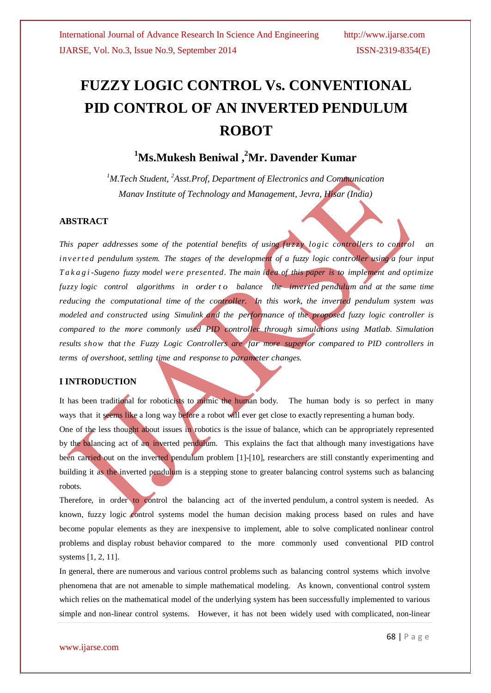# **FUZZY LOGIC CONTROL Vs. CONVENTIONAL PID CONTROL OF AN INVERTED PENDULUM ROBOT**

# **<sup>1</sup>Ms.Mukesh Beniwal , <sup>2</sup>Mr. Davender Kumar**

*<sup>1</sup>M.Tech Student, <sup>2</sup>Asst.Prof, Department of Electronics and Communication Manav Institute of Technology and Management, Jevra, Hisar (India)*

#### **ABSTRACT**

*This paper addresses some of the potential benefits of using fuzzy logic controllers to control an i n v e r t e d pendulum system. The stages of the development of a fuzzy logic controller using a four input T a k a g i -Sugeno fuzzy model were presented. The main idea of this paper is to implement and optimize fuzzy logic control algorithms in order to balance the inverted pendulum and at the same time reducing the computational time of the controller. In this work, the inverted pendulum system was modeled and constructed using Simulink and the performance of the proposed fuzzy logic controller is compared to the more commonly used PID controller through simulations using Matlab. Simulation results show that the Fuzzy Logic Controllers are far more superior compared to PID controllers in terms of overshoot, settling time and response to parameter changes.*

#### **I INTRODUCTION**

It has been traditional for roboticists to mimic the human body. The human body is so perfect in many ways that it seems like a long way before a robot will ever get close to exactly representing a human body. One of the less thought about issues in robotics is the issue of balance, which can be appropriately represented by the balancing act of an inverted pendulum. This explains the fact that although many investigations have

been carried out on the inverted pendulum problem [1]-[10], researchers are still constantly experimenting and building it as the inverted pendulum is a stepping stone to greater balancing control systems such as balancing robots.

Therefore, in order to control the balancing act of the inverted pendulum, a control system is needed. As known, fuzzy logic control systems model the human decision making process based on rules and have become popular elements as they are inexpensive to implement, able to solve complicated nonlinear control problems and display robust behavior compared to the more commonly used conventional PID control systems [1, 2, 11].

In general, there are numerous and various control problems such as balancing control systems which involve phenomena that are not amenable to simple mathematical modeling. As known, conventional control system which relies on the mathematical model of the underlying system has been successfully implemented to various simple and non-linear control systems. However, it has not been widely used with complicated, non-linear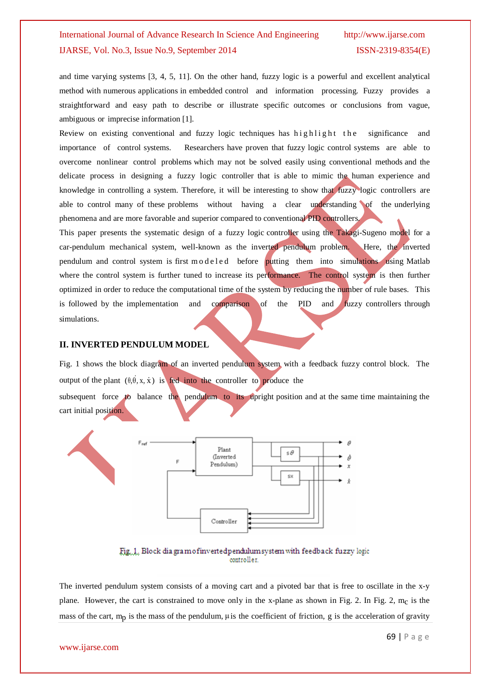and time varying systems [3, 4, 5, 11]. On the other hand, fuzzy logic is a powerful and excellent analytical method with numerous applications in embedded control and information processing. Fuzzy provides a straightforward and easy path to describe or illustrate specific outcomes or conclusions from vague, ambiguous or imprecise information [1].

Review on existing conventional and fuzzy logic techniques has highlight the significance and importance of control systems. Researchers have proven that fuzzy logic control systems are able to overcome nonlinear control problems which may not be solved easily using conventional methods and the delicate process in designing a fuzzy logic controller that is able to mimic the human experience and knowledge in controlling a system. Therefore, it will be interesting to show that fuzzy logic controllers are able to control many of these problems without having a clear understanding of the underlying phenomena and are more favorable and superior compared to conventional PID controllers.

This paper presents the systematic design of a fuzzy logic controller using the Takagi-Sugeno model for a car-pendulum mechanical system, well-known as the inverted pendulum problem. Here, the inverted pendulum and control system is first modeled before putting them into simulations using Matlab where the control system is further tuned to increase its performance. The control system is then further optimized in order to reduce the computational time of the system by reducing the number of rule bases. This is followed by the implementation and comparison of the PID and fuzzy controllers through simulations.

#### **II. INVERTED PENDULUM MODEL**

Fig. 1 shows the block diagram of an inverted pendulum system with a feedback fuzzy control block. The output of the plant  $(\theta, \theta, x, \dot{x})$  is **fed into the controller to produce the** 

subsequent force to balance the pendulum to its upright position and at the same time maintaining the cart initial position.



Fig. 1. Block dia gram of inverted pendulum system with feedback fuzzy logic controller.

The inverted pendulum system consists of a moving cart and a pivoted bar that is free to oscillate in the x-y plane. However, the cart is constrained to move only in the x-plane as shown in Fig. 2. In Fig. 2, m<sub>c</sub> is the mass of the cart, m<sub>p</sub> is the mass of the pendulum,  $\mu$  is the coefficient of friction, g is the acceleration of gravity

#### www.ijarse.com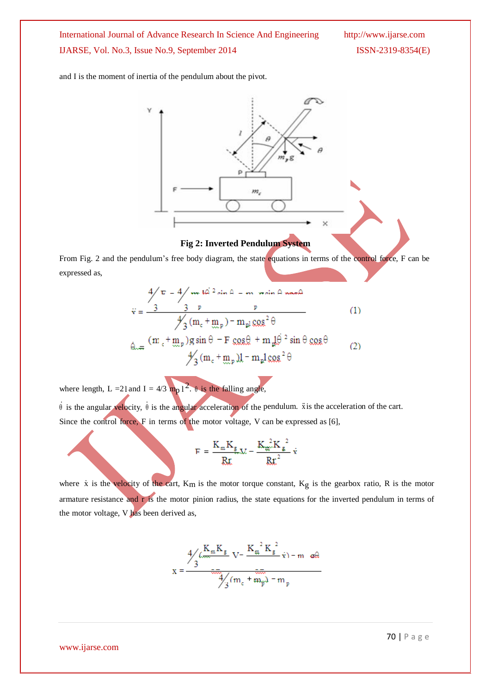and I is the moment of inertia of the pendulum about the pivot.



#### **Fig 2: Inverted Pendulum System**

From Fig. 2 and the pendulum's free body diagram, the state equations in terms of the control force, F can be expressed as,

$$
\ddot{v} = \frac{4/\tau - 4/m \tan^2 \sin \theta - m \text{ with } \theta \text{ when }}{\frac{4}{3}(m_c + m_p) - m_p l \cos^2 \theta}
$$
(1)  

$$
\dot{\theta} = \frac{(m_c + m_p)g \sin \theta - F \cos \theta + m_p l \dot{\theta}^2 \sin \theta \cos \theta}{\frac{4}{3}(m_c + m_p)l - m_p l \cos^2 \theta}
$$
(2)

where length,  $L = 21$  and  $I = 4/3$  m<sub>p</sub>  $1^2$ .  $\theta$  is the falling angle,

 $\dot{\theta}$  is the angular velocity,  $\dot{\theta}$  is the angular acceleration of the pendulum.  $\ddot{x}$  is the acceleration of the cart. Since the control force, F in terms of the motor voltage, V can be expressed as [6],

$$
F = \frac{K_m K_g}{Rt} M - \frac{K_{\text{up}}^2 K_g^2}{Rt^2} \dot{x}
$$

where  $\dot{x}$  is the velocity of the cart,  $K_m$  is the motor torque constant,  $K_g$  is the gearbox ratio, R is the motor armature resistance and r is the motor pinion radius, the state equations for the inverted pendulum in terms of the motor voltage, V has been derived as,

$$
x = \frac{4\sqrt{\sum_{m=1}^{K} K_{g}} V - \frac{K_{m}^{2} K_{g}^{2}}{4} \dot{v} - m \alpha A}{4\sqrt{\sum_{m=1}^{K} (m_{c} + m_{g}) - m_{p}}}
$$

www.ijarse.com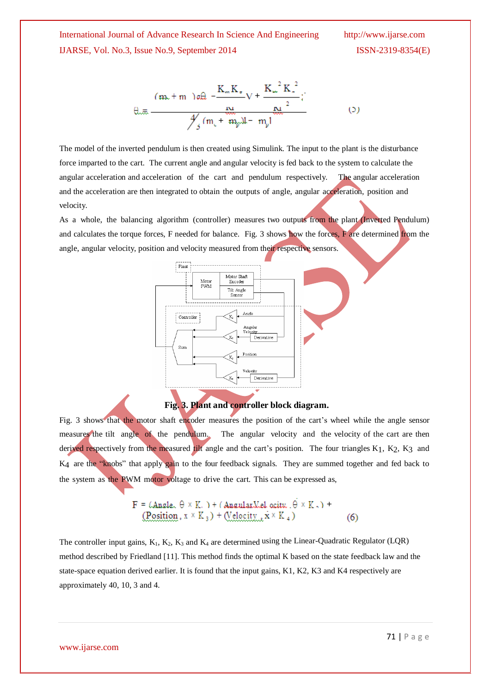$$
\theta_{\text{eff}} \frac{(m_{\text{c}} + m_{\text{c}}) \alpha \theta - \frac{K_{\text{m}} K_{\text{m}}}{M_{\text{c}}}}{\mu_{\text{c}} \left(m_{\text{c}} + m_{\text{p}}M - m_{\text{p}}\right)^{2}}
$$
\n(2)

The model of the inverted pendulum is then created using Simulink. The input to the plant is the disturbance force imparted to the cart. The current angle and angular velocity is fed back to the system to calculate the angular acceleration and acceleration of the cart and pendulum respectively. The angular acceleration and the acceleration are then integrated to obtain the outputs of angle, angular acceleration, position and velocity.

As a whole, the balancing algorithm (controller) measures two outputs from the plant (Inverted Pendulum) and calculates the torque forces, F needed for balance. Fig. 3 shows how the forces, F are determined from the angle, angular velocity, position and velocity measured from their respective sensors.



#### **Fig. 3. Plant and controller block diagram.**

Fig. 3 shows that the motor shaft encoder measures the position of the cart's wheel while the angle sensor measures the tilt angle of the pendulum. The angular velocity and the velocity of the cart are then derived respectively from the measured tilt angle and the cart's position. The four triangles K1, K2, K3 and K4 are the "knobs" that apply gain to the four feedback signals. They are summed together and fed back to the system as the PWM motor voltage to drive the cart. This can be expressed as,

$$
F = (Anale, \theta \times K, ) + (AnaularXel, ocitx, \theta \times K, ) +
$$
  
(Position, x \times K<sub>3</sub>) + (Velocity, x \times K<sub>4</sub>) (6)

The controller input gains,  $K_1$ ,  $K_2$ ,  $K_3$  and  $K_4$  are determined using the Linear-Quadratic Regulator (LQR) method described by Friedland [11]. This method finds the optimal K based on the state feedback law and the state-space equation derived earlier. It is found that the input gains, K1, K2, K3 and K4 respectively are approximately 40, 10, 3 and 4.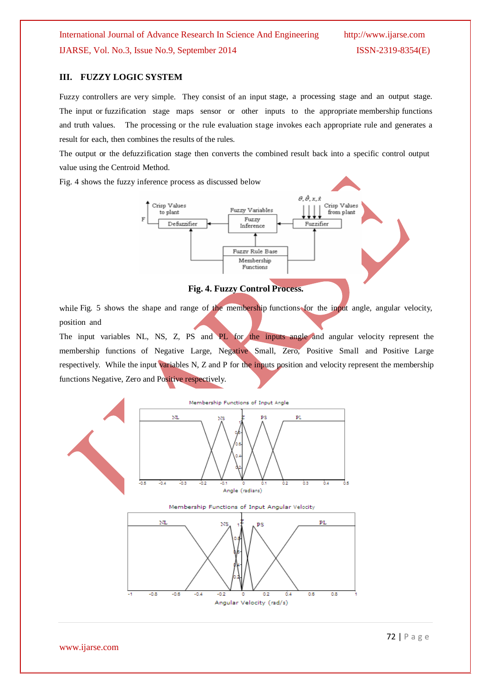#### **III. FUZZY LOGIC SYSTEM**

Fuzzy controllers are very simple. They consist of an input stage, a processing stage and an output stage. The input or fuzzification stage maps sensor or other inputs to the appropriate membership functions and truth values. The processing or the rule evaluation stage invokes each appropriate rule and generates a result for each, then combines the results of the rules.

The output or the defuzzification stage then converts the combined result back into a specific control output value using the Centroid Method.

Fig. 4 shows the fuzzy inference process as discussed below



**Fig. 4. Fuzzy Control Process.**

while Fig. 5 shows the shape and range of the membership functions for the input angle, angular velocity, position and

The input variables NL, NS, Z, PS and PL for the inputs angle and angular velocity represent the membership functions of Negative Large, Negative Small, Zero, Positive Small and Positive Large respectively. While the input variables N, Z and P for the inputs position and velocity represent the membership functions Negative, Zero and Positive respectively.



www.ijarse.com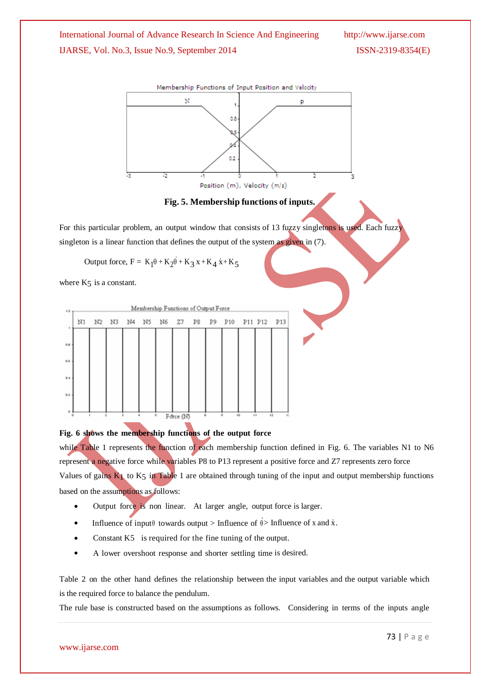

#### **Fig. 5. Membership functions of inputs.**

For this particular problem, an output window that consists of 13 fuzzy singletons is used. Each fuzzy singleton is a linear function that defines the output of the system as given in (7).

Output force,  $F = K_1\theta + K_2\theta + K_3 x + K_4 \dot{x} + K_5$ 

where K<sub>5</sub> is a constant.

| 1.2. | Membership Functions of Output Force |    |    |    |    |    |           |    |    |     |         |     |
|------|--------------------------------------|----|----|----|----|----|-----------|----|----|-----|---------|-----|
|      | N1                                   | N2 | N3 | N4 | N5 | N6 | <b>Z7</b> | P8 | P9 | P10 | P11 P12 | P13 |
| 0.8  |                                      |    |    |    |    |    |           |    |    |     |         |     |
| 0.6  |                                      |    |    |    |    |    |           |    |    |     |         |     |
| 0.4  |                                      |    |    |    |    |    |           |    |    |     |         |     |
| 0.2  |                                      |    |    |    |    |    |           |    |    |     |         |     |
|      |                                      |    |    |    |    |    |           |    |    |     |         |     |
|      | 10<br>Force (N)<br>11<br>12          |    |    |    |    |    |           |    |    |     |         |     |

#### **Fig. 6 shows the membership functions of the output force**

while Table 1 represents the function of each membership function defined in Fig. 6. The variables N1 to N6 represent a negative force while variables P8 to P13 represent a positive force and Z7 represents zero force Values of gains  $\mathbf{K}_1$  to  $\mathbf{K}_5$  in Table 1 are obtained through tuning of the input and output membership functions based on the assumptions as follows:

- Output force is non linear. At larger angle, output force is larger.
- Influence of input $\theta$  towards output > Influence of  $\dot{\theta}$  > Influence of x and x.
- Constant K5 is required for the fine tuning of the output.
- A lower overshoot response and shorter settling time is desired.

Table 2 on the other hand defines the relationship between the input variables and the output variable which is the required force to balance the pendulum.

The rule base is constructed based on the assumptions as follows. Considering in terms of the inputs angle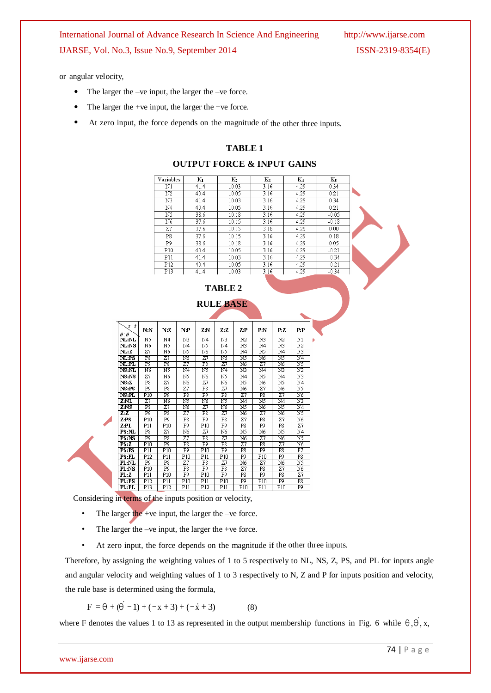or angular velocity,

- The larger the –ve input, the larger the –ve force.
- The larger the +ve input, the larger the +ve force.
- At zero input, the force depends on the magnitude of the other three inputs.

#### **TABLE 1**

Variables  $K_1$  $K_2$  $\mathbf{K_3}$  $K<sub>4</sub>$  $K_{5}$  $10.03$  $\overline{N1}$  $41.4$  $3.16$  $4.29$  $0.34$  $\overline{N2}$  $40.4$  $10.05$  $3.16$  $4.29$  $0.21$  $N<sub>3</sub>$  $41.4$  $10.03$  $3.16$ 4.29  $0.34$  $\overline{N4}$  $40.4$  $10.05$  $3.16$ 4.29  $0.21$  $\overline{\text{N5}}$ 38.6  $10.18$  $3.16$ 4.29  $-0.05$  $\overline{N6}$  $37.6$  $10.15$  $3.16$  $4.29$  $-0.18$  $\overline{z7}$  $37.6$  $10.15$  $3.16$ 4.29  $0.00$  $\frac{37.6}{38.6}$  $\overline{P8}$  $10.15$ 4.29 3.16  $0.18$  $\overline{P9}$  $10.18$  $3.16$ 4.29  $0.05$  $\overline{P10}$  $40.4$ 10.05 3.16  $4.29$  $-0.21$  $\overline{P11}$  $10.03$  $3.16$  $-0.34$ 41.4 4.29 P<sub>12</sub>  $404$ 10.05 3.16 4.29  $-0.21$ **P13** 41.4 10.03 3.16 4.29  $-0.34$  **TABLE 2 RULE BASE**  $N:Z$  $N:P$  $Z:N$  $Z:Z$  $Z: P$  $P:N$  $\mathbf{P:Z}$  $P:P$  $N: N$  $\frac{N2}{N3}$  $\overline{\text{M}}$  $\overline{N4}$  $\frac{\overline{N4}}{\overline{N5}}$  $\frac{\text{N2}}{\text{N3}}$  $\frac{\overline{N1}}{\overline{N2}}$  $\overline{N}$  $\frac{117}{N4}$  $\overline{\overline{\text{NS}}}$  $\overline{N4}$  $\overline{N4}$  $\overline{\text{N6}}$ ÑÃ ਜ਼ਿ ...<br>N5

|  | <b>OUTPUT FORCE &amp; INPUT GAINS</b> |  |
|--|---------------------------------------|--|
|  |                                       |  |

| NL:PS    | P8             | Z7               | Nб  | Z7           | Nб           | N5          | Nб           | N5          | N4                     |
|----------|----------------|------------------|-----|--------------|--------------|-------------|--------------|-------------|------------------------|
| NL:PL    | P9             | P <sub>8</sub>   | Z7  | $_{\rm P2}$  | Z7           | N6          | Z7           | N6          | N5                     |
| NS:ML    | Nб             | N5               | N4  | N5           | N4           | N3          | N4           | N3          | $\overline{\text{N2}}$ |
| NS:NS    | Z7             | Nб               | N5  | Nб           | N5           | N4          | N5           | N4          | N3                     |
| NS Z     | P8             | Z7               | N6  | Z7           | N6           | N5          | N6           | N5          | N4                     |
| NS:FS    | P9             | P8               | Z7  | P8           | Z7           | Nб          | Z7           | Nб          | N5                     |
| $NS:$ PL | P10            | P <sub>9</sub>   | P8  | P9           | P8           | Z7          | P8           | Z7          | N6                     |
| Z:NL     | Z7             | N6               | N5  | N6           | N5           | N4          | N5           | N4          | N3                     |
| Z:NS     | P8             | Z7               | N6  | Z7           | Nб           | N5          | Nб           | N5          | N4                     |
| Z.Z      | P9             | P8               | Z7  | P8           | Z7           | N6          | Z7           | N6          | N5.                    |
| Z:PS     | P10            | P9               | P8  | P9           | $_{\rm PS}$  | Z7          | P8           | Z7          | N6                     |
| Z:PL     | P11            | P10              | P9  | $_{\rm P10}$ | P9           | P8          | P9           | P8          | Z7                     |
| PS:NL    | P8             | Z7               | N6  | Z7           | Nб           | N5          | Nб           | N5          | N4                     |
| PS NS    | P <sub>9</sub> | P8               | Z7  | P8           | Z7           | N6          | Z7           | Nб          | N5                     |
| PS:Z     | P10            | P9               | P8  | P9           | P8           | Z7          | P8           | Z7          | N6                     |
| PS:FS    | P11            | P10              | P9  | P10          | P9           | P8          | P9           | $_{\rm P8}$ | P7                     |
| PS:PL    | P12            | P11              | P10 | P11          | P10          | P9          | P10          | P9          | P8                     |
| PL:NL    | P9             | P8               | Z7  | P8           | Z7           | N6          | Z7           | N6          | N5                     |
| PL:NS    | $_{\rm P10}$   | P <sub>9</sub>   | P8  | P9           | P8           | Z7          | P8           | Z7          | N6                     |
| PL Z     | P11            | P10              | P9  | P10          | P9           | $_{\rm P8}$ | P9           | $_{\rm P8}$ | Z7                     |
| PL: PS   | P12            | $\overline{P}11$ | P10 | $_{\rm P11}$ | $_{\rm P10}$ | P9          | $_{\rm P10}$ | P9          | P8                     |
| PL:PL    | P13            | P12              | P11 | P12          | P11          | P10         | P11          | P10         | P9                     |

Considering in terms of the inputs position or velocity,

- The larger the +ve input, the larger the –ve force.
- The larger the –ve input, the larger the +ve force.
- At zero input, the force depends on the magnitude if the other three inputs.

Therefore, by assigning the weighting values of 1 to 5 respectively to NL, NS, Z, PS, and PL for inputs angle and angular velocity and weighting values of 1 to 3 respectively to N, Z and P for inputs position and velocity, the rule base is determined using the formula,

 $F = \theta + (\theta - 1) + (-x + 3) + (-x + 3)$  (8)

where F denotes the values 1 to 13 as represented in the output membership functions in Fig. 6 while  $\theta$ , $\dot{\theta}$ , x,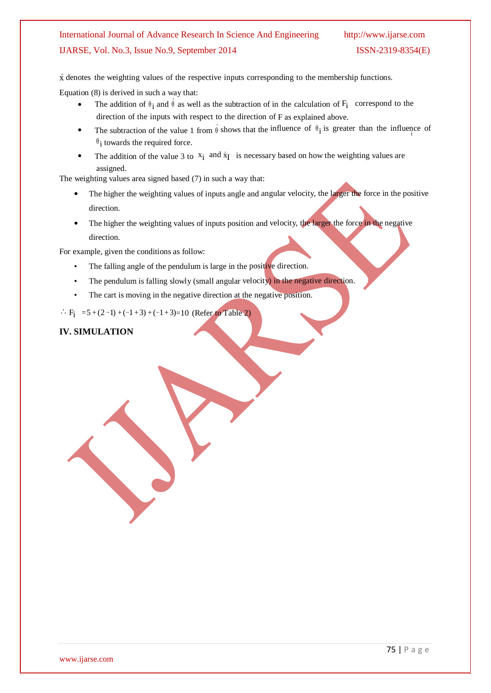$\dot{x}$  denotes the weighting values of the respective inputs corresponding to the membership functions.

Equation (8) is derived in such a way that:

- The addition of  $\theta_i$  and  $\dot{\theta}$  as well as the subtraction of in the calculation of  $F_i$  correspond to the direction of the inputs with respect to the direction of F as explained above.
- The subtraction of the value 1 from  $\theta$  shows that the influence of  $\theta_i$  is greater than the influence of  $\theta$ <sub>i</sub> towards the required force.
- The addition of the value 3 to  $x_i$  and  $x_i$  is necessary based on how the weighting values are assigned.

The weighting values area signed based (7) in such a way that:

- The higher the weighting values of inputs angle and angular velocity, the larger the force in the positive direction.
- The higher the weighting values of inputs position and velocity, the larger the force in the negative direction.

For example, given the conditions as follow:

- The falling angle of the pendulum is large in the positive direction.
- The pendulum is falling slowly (small angular velocity) in the negative direction.
- The cart is moving in the negative direction at the negative position.

∴ F<sub>i</sub> = 5 + (2 -1) + (-1+3) + (-1+3)=10 (Refer to Table 2)

#### **IV. SIMULATION**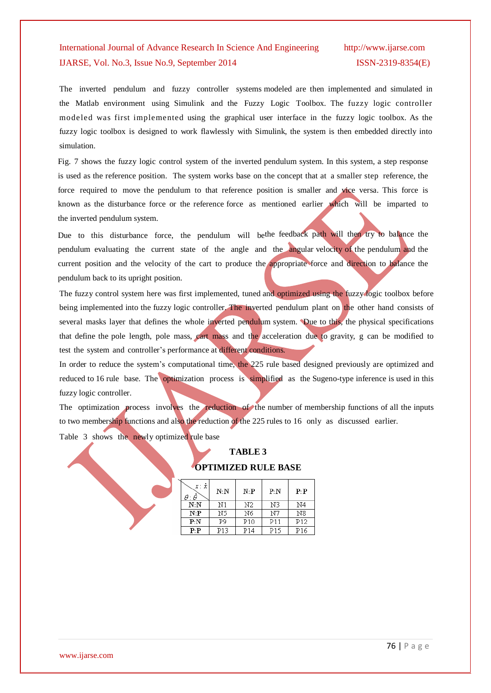The inverted pendulum and fuzzy controller systems modeled are then implemented and simulated in the Matlab environment using Simulink and the Fuzzy Logic Toolbox. The fuzzy logic controller modeled was first implemented using the graphical user interface in the fuzzy logic toolbox. As the fuzzy logic toolbox is designed to work flawlessly with Simulink, the system is then embedded directly into simulation.

Fig. 7 shows the fuzzy logic control system of the inverted pendulum system. In this system, a step response is used as the reference position. The system works base on the concept that at a smaller step reference, the force required to move the pendulum to that reference position is smaller and vice versa. This force is known as the disturbance force or the reference force as mentioned earlier which will be imparted to the inverted pendulum system.

Due to this disturbance force, the pendulum will bethe feedback path will then try to balance the pendulum evaluating the current state of the angle and the angular velocity of the pendulum and the current position and the velocity of the cart to produce the appropriate force and direction to balance the pendulum back to its upright position.

The fuzzy control system here was first implemented, tuned and optimized using the fuzzy logic toolbox before being implemented into the fuzzy logic controller. The inverted pendulum plant on the other hand consists of several masks layer that defines the whole inverted pendulum system. Due to this, the physical specifications that define the pole length, pole mass, cart mass and the acceleration due to gravity, g can be modified to test the system and controller's performance at different conditions.

In order to reduce the system's computational time, the 225 rule based designed previously are optimized and reduced to 16 rule base. The optimization process is simplified as the Sugeno-type inference is used in this fuzzy logic controller.

The optimization process involves the reduction of the number of membership functions of all the inputs to two membership functions and also the reduction of the 225 rules to 16 only as discussed earlier.

Table 3 shows the newly optimized rule base

## **TABLE 3 OPTIMIZED RULE BASE**

| x: x<br>$\theta$ : $\dot{\theta}$ | N: N            | N: P            | P: N | P: P       |
|-----------------------------------|-----------------|-----------------|------|------------|
| N: N                              | N1              | N2              | N3   | N4         |
| N:P                               | N5              | N6              | N7   | N8         |
| P: N                              | P9              | P <sub>10</sub> | P11  | <b>P12</b> |
| P: P                              | P <sub>13</sub> | P <sub>14</sub> | P15  | P16        |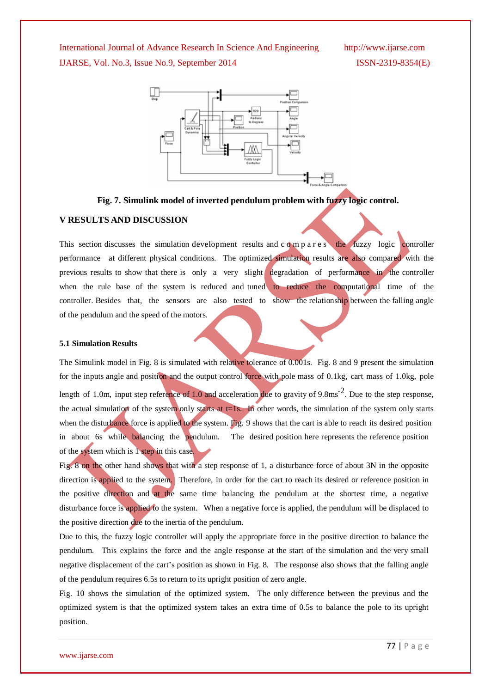

### **Fig. 7. Simulink model of inverted pendulum problem with fuzzy logic control.**

#### **V RESULTS AND DISCUSSION**

This section discusses the simulation development results and  $c \circ m p a r e s$  the fuzzy logic controller performance at different physical conditions. The optimized simulation results are also compared with the previous results to show that there is only a very slight degradation of performance in the controller when the rule base of the system is reduced and tuned to reduce the computational time of the controller. Besides that, the sensors are also tested to show the relationship between the falling angle of the pendulum and the speed of the motors.

#### **5.1 Simulation Results**

The Simulink model in Fig. 8 is simulated with relative tolerance of 0.001s. Fig. 8 and 9 present the simulation for the inputs angle and position and the output control force with pole mass of 0.1kg, cart mass of 1.0kg, pole length of 1.0m, input step reference of 1.0 and acceleration due to gravity of 9.8ms<sup>-2</sup>. Due to the step response, the actual simulation of the system only starts at  $t=1s$ . In other words, the simulation of the system only starts when the disturbance force is applied to the system. Fig. 9 shows that the cart is able to reach its desired position in about 6s while balancing the pendulum. The desired position here represents the reference position of the system which is 1 step in this case.

Fig. 8 on the other hand shows that with a step response of 1, a disturbance force of about 3N in the opposite direction is applied to the system. Therefore, in order for the cart to reach its desired or reference position in the positive direction and at the same time balancing the pendulum at the shortest time, a negative disturbance force is applied to the system. When a negative force is applied, the pendulum will be displaced to the positive direction due to the inertia of the pendulum.

Due to this, the fuzzy logic controller will apply the appropriate force in the positive direction to balance the pendulum. This explains the force and the angle response at the start of the simulation and the very small negative displacement of the cart's position as shown in Fig. 8. The response also shows that the falling angle of the pendulum requires 6.5s to return to its upright position of zero angle.

Fig. 10 shows the simulation of the optimized system. The only difference between the previous and the optimized system is that the optimized system takes an extra time of 0.5s to balance the pole to its upright position.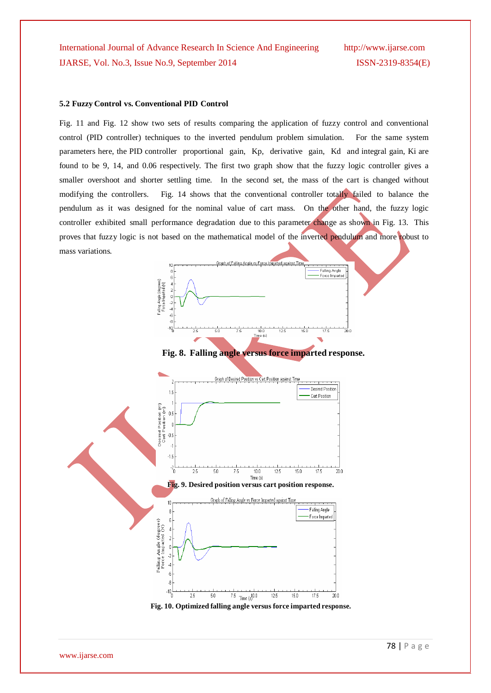#### **5.2 Fuzzy Control vs. Conventional PID Control**

Fig. 11 and Fig. 12 show two sets of results comparing the application of fuzzy control and conventional control (PID controller) techniques to the inverted pendulum problem simulation. For the same system parameters here, the PID controller proportional gain, Kp, derivative gain, Kd and integral gain, Ki are found to be 9, 14, and 0.06 respectively. The first two graph show that the fuzzy logic controller gives a smaller overshoot and shorter settling time. In the second set, the mass of the cart is changed without modifying the controllers. Fig. 14 shows that the conventional controller totally failed to balance the pendulum as it was designed for the nominal value of cart mass. On the other hand, the fuzzy logic controller exhibited small performance degradation due to this parameter change as shown in Fig. 13. This proves that fuzzy logic is not based on the mathematical model of the inverted pendulum and more robust to mass variations.

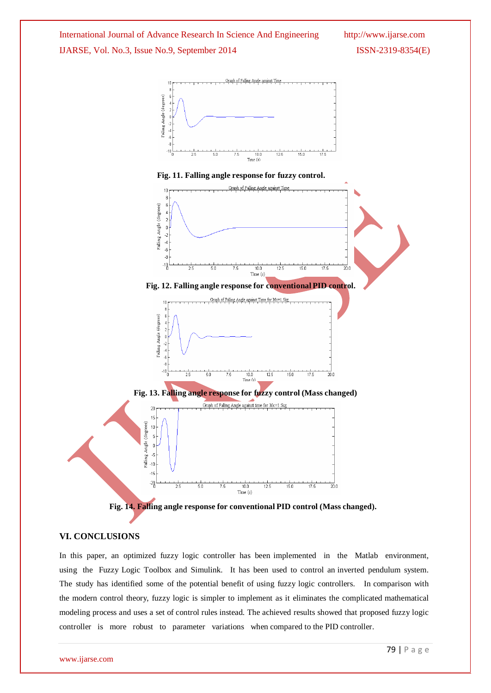

#### **VI. CONCLUSIONS**

In this paper, an optimized fuzzy logic controller has been implemented in the Matlab environment, using the Fuzzy Logic Toolbox and Simulink. It has been used to control an inverted pendulum system. The study has identified some of the potential benefit of using fuzzy logic controllers. In comparison with the modern control theory, fuzzy logic is simpler to implement as it eliminates the complicated mathematical modeling process and uses a set of control rules instead. The achieved results showed that proposed fuzzy logic controller is more robust to parameter variations when compared to the PID controller.